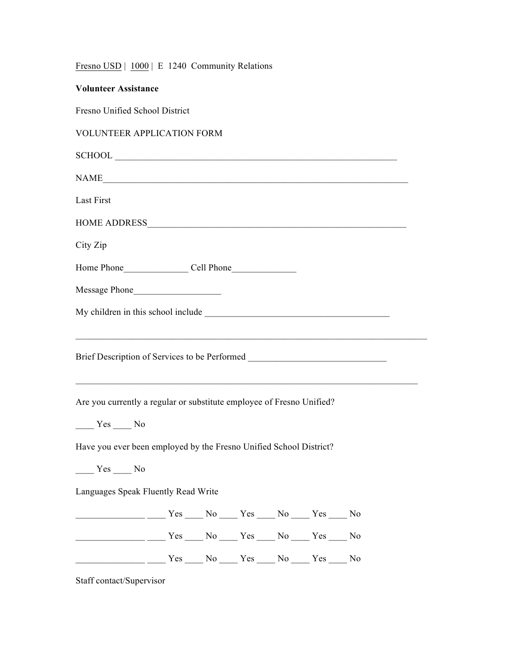|  |  |  |  | Fresno USD   1000   E 1240 Community Relations |  |
|--|--|--|--|------------------------------------------------|--|
|--|--|--|--|------------------------------------------------|--|

| <b>Volunteer Assistance</b>                                                                                                                                                                                                                 |  |  |  |  |  |  |  |  |
|---------------------------------------------------------------------------------------------------------------------------------------------------------------------------------------------------------------------------------------------|--|--|--|--|--|--|--|--|
| Fresno Unified School District                                                                                                                                                                                                              |  |  |  |  |  |  |  |  |
| <b>VOLUNTEER APPLICATION FORM</b>                                                                                                                                                                                                           |  |  |  |  |  |  |  |  |
|                                                                                                                                                                                                                                             |  |  |  |  |  |  |  |  |
| NAME                                                                                                                                                                                                                                        |  |  |  |  |  |  |  |  |
| Last First                                                                                                                                                                                                                                  |  |  |  |  |  |  |  |  |
|                                                                                                                                                                                                                                             |  |  |  |  |  |  |  |  |
| City Zip                                                                                                                                                                                                                                    |  |  |  |  |  |  |  |  |
|                                                                                                                                                                                                                                             |  |  |  |  |  |  |  |  |
|                                                                                                                                                                                                                                             |  |  |  |  |  |  |  |  |
|                                                                                                                                                                                                                                             |  |  |  |  |  |  |  |  |
| Brief Description of Services to be Performed __________________________________<br>Are you currently a regular or substitute employee of Fresno Unified?<br>$Yes$ No<br>Have you ever been employed by the Fresno Unified School District? |  |  |  |  |  |  |  |  |
| $Yes$ No<br>Languages Speak Fluently Read Write                                                                                                                                                                                             |  |  |  |  |  |  |  |  |
|                                                                                                                                                                                                                                             |  |  |  |  |  |  |  |  |
| <u>_______________</u> ____ Yes ____ No ____ Yes ____ No ____ Yes ____ No                                                                                                                                                                   |  |  |  |  |  |  |  |  |
| Tes No Yes No Yes No No Yes No Yes No Yes No                                                                                                                                                                                                |  |  |  |  |  |  |  |  |
| Staff contact/Supervisor                                                                                                                                                                                                                    |  |  |  |  |  |  |  |  |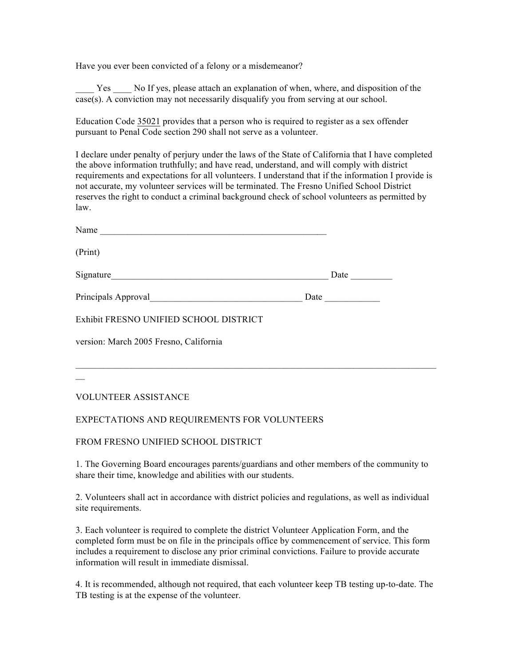Have you ever been convicted of a felony or a misdemeanor?

Yes No If yes, please attach an explanation of when, where, and disposition of the case(s). A conviction may not necessarily disqualify you from serving at our school.

Education Code 35021 provides that a person who is required to register as a sex offender pursuant to Penal Code section 290 shall not serve as a volunteer.

I declare under penalty of perjury under the laws of the State of California that I have completed the above information truthfully; and have read, understand, and will comply with district requirements and expectations for all volunteers. I understand that if the information I provide is not accurate, my volunteer services will be terminated. The Fresno Unified School District reserves the right to conduct a criminal background check of school volunteers as permitted by law.

| Name                                                                   |      |      |
|------------------------------------------------------------------------|------|------|
| (Print)                                                                |      |      |
| Signature<br><u> 1980 - John Stein, Amerikaansk politiker (* 1908)</u> |      | Date |
| Principals Approval<br><u> 1980 - Jan Samuel Barbara, martin a</u>     | Date |      |
| Exhibit FRESNO UNIFIED SCHOOL DISTRICT                                 |      |      |
| version: March 2005 Fresno, California                                 |      |      |
|                                                                        |      |      |
|                                                                        |      |      |

VOLUNTEER ASSISTANCE

## EXPECTATIONS AND REQUIREMENTS FOR VOLUNTEERS

FROM FRESNO UNIFIED SCHOOL DISTRICT

1. The Governing Board encourages parents/guardians and other members of the community to share their time, knowledge and abilities with our students.

2. Volunteers shall act in accordance with district policies and regulations, as well as individual site requirements.

3. Each volunteer is required to complete the district Volunteer Application Form, and the completed form must be on file in the principals office by commencement of service. This form includes a requirement to disclose any prior criminal convictions. Failure to provide accurate information will result in immediate dismissal.

4. It is recommended, although not required, that each volunteer keep TB testing up-to-date. The TB testing is at the expense of the volunteer.